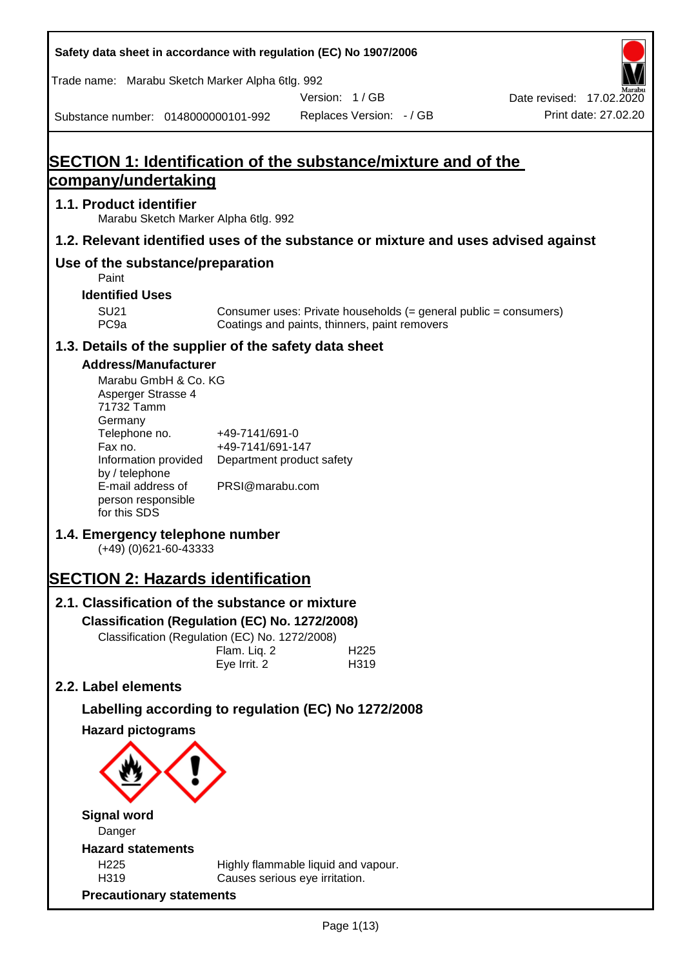**Safety data sheet in accordance with regulation (EC) No 1907/2006** Substance number: 0148000000101-992 Version: 1 / GB Replaces Version: - / GB Print date: 27.02.20 Date revised: 17.02.2020 Trade name: Marabu Sketch Marker Alpha 6tlg. 992 **SECTION 1: Identification of the substance/mixture and of the company/undertaking 1.1. Product identifier** Marabu Sketch Marker Alpha 6tlg. 992 **1.2. Relevant identified uses of the substance or mixture and uses advised against Use of the substance/preparation** Paint **Identified Uses** SU21 Consumer uses: Private households (= general public = consumers)<br>PC9a Coatings and paints, thinners, paint removers Coatings and paints, thinners, paint removers **1.3. Details of the supplier of the safety data sheet Address/Manufacturer** Marabu GmbH & Co. KG Asperger Strasse 4 71732 Tamm **Germany** Telephone no. +49-7141/691-0 Fax no.  $+49-7141/691-147$ Information provided Department product safety by / telephone E-mail address of person responsible for this SDS PRSI@marabu.com **1.4. Emergency telephone number** (+49) (0)621-60-43333 **SECTION 2: Hazards identification 2.1. Classification of the substance or mixture Classification (Regulation (EC) No. 1272/2008)** Classification (Regulation (EC) No. 1272/2008) Flam. Liq. 2 H225 Eye Irrit. 2 H319 **2.2. Label elements Labelling according to regulation (EC) No 1272/2008 Hazard pictograms Signal word** Danger **Hazard statements** H225 Highly flammable liquid and vapour. H319 Causes serious eye irritation. **Precautionary statements**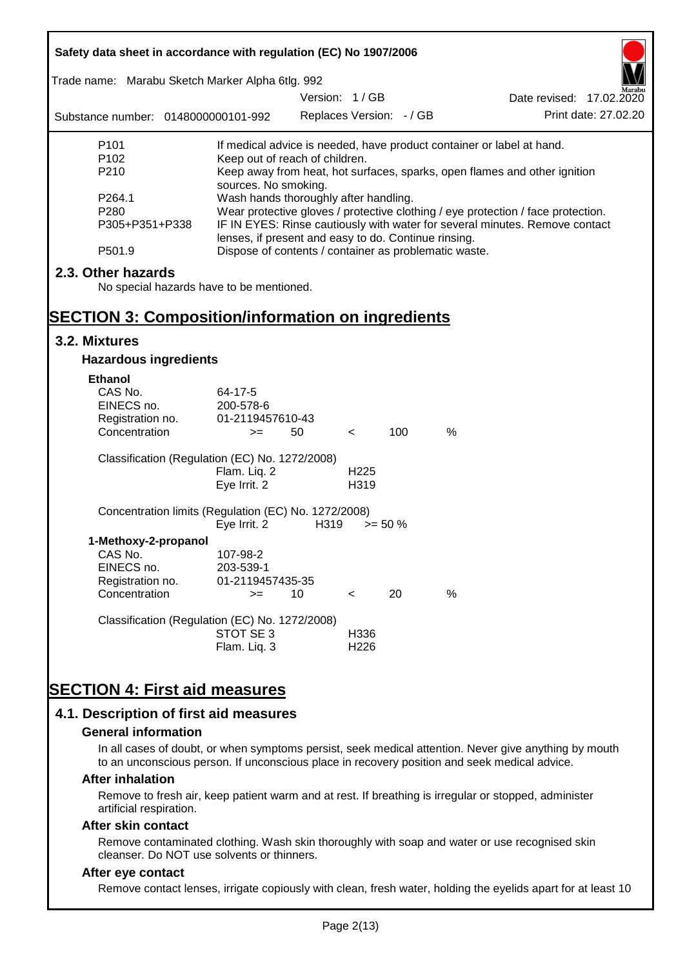| Safety data sheet in accordance with regulation (EC) No 1907/2006<br>Trade name: Marabu Sketch Marker Alpha 6tlg. 992 |                                                                                                                                                                                                                                                                  | Version: 1/GB            |                          |            |               | Date revised: 17.02.2020                                                  |
|-----------------------------------------------------------------------------------------------------------------------|------------------------------------------------------------------------------------------------------------------------------------------------------------------------------------------------------------------------------------------------------------------|--------------------------|--------------------------|------------|---------------|---------------------------------------------------------------------------|
| Substance number: 0148000000101-992                                                                                   |                                                                                                                                                                                                                                                                  | Replaces Version: - / GB |                          |            |               | Print date: 27.02.20                                                      |
| P <sub>101</sub>                                                                                                      |                                                                                                                                                                                                                                                                  |                          |                          |            |               | If medical advice is needed, have product container or label at hand.     |
| P <sub>102</sub><br>P210                                                                                              | Keep out of reach of children.<br>sources. No smoking.                                                                                                                                                                                                           |                          |                          |            |               | Keep away from heat, hot surfaces, sparks, open flames and other ignition |
| P264.1<br>P280<br>P305+P351+P338                                                                                      | Wash hands thoroughly after handling.<br>Wear protective gloves / protective clothing / eye protection / face protection.<br>IF IN EYES: Rinse cautiously with water for several minutes. Remove contact<br>lenses, if present and easy to do. Continue rinsing. |                          |                          |            |               |                                                                           |
| P501.9                                                                                                                | Dispose of contents / container as problematic waste.                                                                                                                                                                                                            |                          |                          |            |               |                                                                           |
| 2.3. Other hazards<br>No special hazards have to be mentioned.                                                        |                                                                                                                                                                                                                                                                  |                          |                          |            |               |                                                                           |
| <b>SECTION 3: Composition/information on ingredients</b><br>3.2. Mixtures                                             |                                                                                                                                                                                                                                                                  |                          |                          |            |               |                                                                           |
|                                                                                                                       |                                                                                                                                                                                                                                                                  |                          |                          |            |               |                                                                           |
| <b>Hazardous ingredients</b>                                                                                          |                                                                                                                                                                                                                                                                  |                          |                          |            |               |                                                                           |
| <b>Ethanol</b><br>CAS No.<br>EINECS no.<br>Registration no.<br>Concentration                                          | 64-17-5<br>200-578-6<br>01-2119457610-43<br>$>=$                                                                                                                                                                                                                 | 50                       | $\lt$                    | 100        | $\frac{0}{0}$ |                                                                           |
| Classification (Regulation (EC) No. 1272/2008)                                                                        | Flam. Liq. 2<br>Eye Irrit. 2                                                                                                                                                                                                                                     |                          | H <sub>225</sub><br>H319 |            |               |                                                                           |
| Concentration limits (Regulation (EC) No. 1272/2008)                                                                  | Eye Irrit. 2                                                                                                                                                                                                                                                     | H319                     |                          | $>= 50 \%$ |               |                                                                           |
| 1-Methoxy-2-propanol<br>CAS No.<br>EINECS no.<br>Registration no.                                                     | 107-98-2<br>203-539-1<br>01-2119457435-35                                                                                                                                                                                                                        |                          |                          |            |               |                                                                           |
| Concentration                                                                                                         | $>=$                                                                                                                                                                                                                                                             | 10                       | $\,<\,$                  | 20         | %             |                                                                           |
| Classification (Regulation (EC) No. 1272/2008)                                                                        | STOT SE 3<br>Flam. Liq. 3                                                                                                                                                                                                                                        |                          | H336<br>H <sub>226</sub> |            |               |                                                                           |
| <b>SECTION 4: First aid measures</b>                                                                                  |                                                                                                                                                                                                                                                                  |                          |                          |            |               |                                                                           |
| 4.1. Description of first aid measures                                                                                |                                                                                                                                                                                                                                                                  |                          |                          |            |               |                                                                           |

#### **General information**

In all cases of doubt, or when symptoms persist, seek medical attention. Never give anything by mouth to an unconscious person. If unconscious place in recovery position and seek medical advice.

#### **After inhalation**

Remove to fresh air, keep patient warm and at rest. If breathing is irregular or stopped, administer artificial respiration.

#### **After skin contact**

Remove contaminated clothing. Wash skin thoroughly with soap and water or use recognised skin cleanser. Do NOT use solvents or thinners.

## **After eye contact**

Remove contact lenses, irrigate copiously with clean, fresh water, holding the eyelids apart for at least 10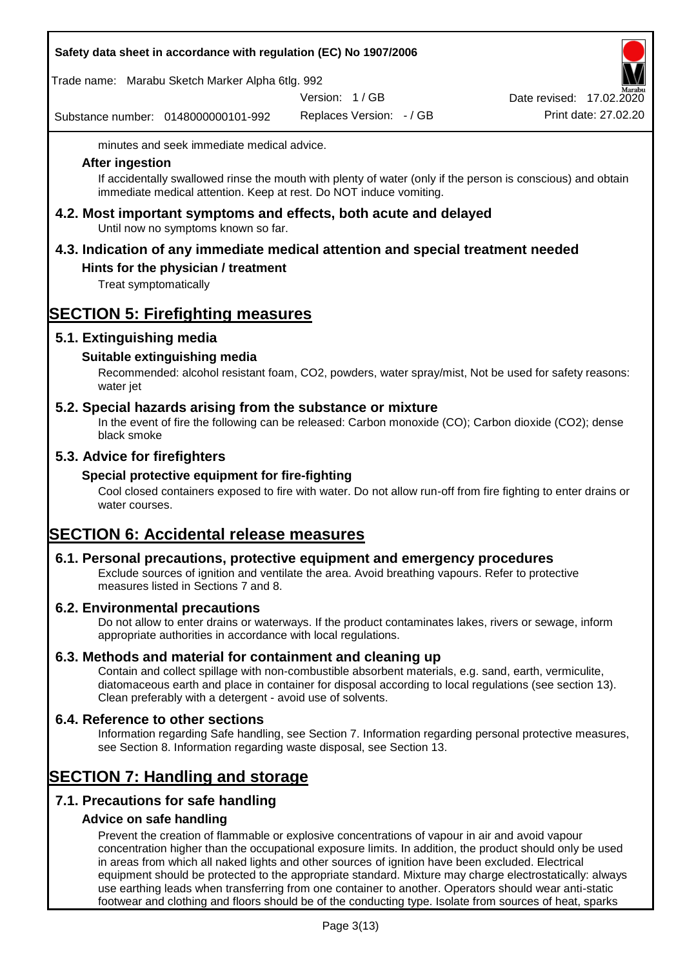|  | Safety data sheet in accordance with regulation (EC) No 1907/2006 |  |
|--|-------------------------------------------------------------------|--|
|--|-------------------------------------------------------------------|--|

Trade name: Marabu Sketch Marker Alpha 6tlg. 992

Version: 1 / GB

Substance number: 0148000000101-992

Replaces Version: - / GB Print date: 27.02.20 Date revised: 17.02.2020

minutes and seek immediate medical advice.

### **After ingestion**

If accidentally swallowed rinse the mouth with plenty of water (only if the person is conscious) and obtain immediate medical attention. Keep at rest. Do NOT induce vomiting.

**4.2. Most important symptoms and effects, both acute and delayed** Until now no symptoms known so far.

# **4.3. Indication of any immediate medical attention and special treatment needed**

## **Hints for the physician / treatment**

Treat symptomatically

## **SECTION 5: Firefighting measures**

## **5.1. Extinguishing media**

## **Suitable extinguishing media**

Recommended: alcohol resistant foam, CO2, powders, water spray/mist, Not be used for safety reasons: water jet

## **5.2. Special hazards arising from the substance or mixture**

In the event of fire the following can be released: Carbon monoxide (CO); Carbon dioxide (CO2); dense black smoke

## **5.3. Advice for firefighters**

## **Special protective equipment for fire-fighting**

Cool closed containers exposed to fire with water. Do not allow run-off from fire fighting to enter drains or water courses.

## **SECTION 6: Accidental release measures**

## **6.1. Personal precautions, protective equipment and emergency procedures**

Exclude sources of ignition and ventilate the area. Avoid breathing vapours. Refer to protective measures listed in Sections 7 and 8.

## **6.2. Environmental precautions**

Do not allow to enter drains or waterways. If the product contaminates lakes, rivers or sewage, inform appropriate authorities in accordance with local regulations.

## **6.3. Methods and material for containment and cleaning up**

Contain and collect spillage with non-combustible absorbent materials, e.g. sand, earth, vermiculite, diatomaceous earth and place in container for disposal according to local regulations (see section 13). Clean preferably with a detergent - avoid use of solvents.

## **6.4. Reference to other sections**

Information regarding Safe handling, see Section 7. Information regarding personal protective measures, see Section 8. Information regarding waste disposal, see Section 13.

## **SECTION 7: Handling and storage**

## **7.1. Precautions for safe handling**

## **Advice on safe handling**

Prevent the creation of flammable or explosive concentrations of vapour in air and avoid vapour concentration higher than the occupational exposure limits. In addition, the product should only be used in areas from which all naked lights and other sources of ignition have been excluded. Electrical equipment should be protected to the appropriate standard. Mixture may charge electrostatically: always use earthing leads when transferring from one container to another. Operators should wear anti-static footwear and clothing and floors should be of the conducting type. Isolate from sources of heat, sparks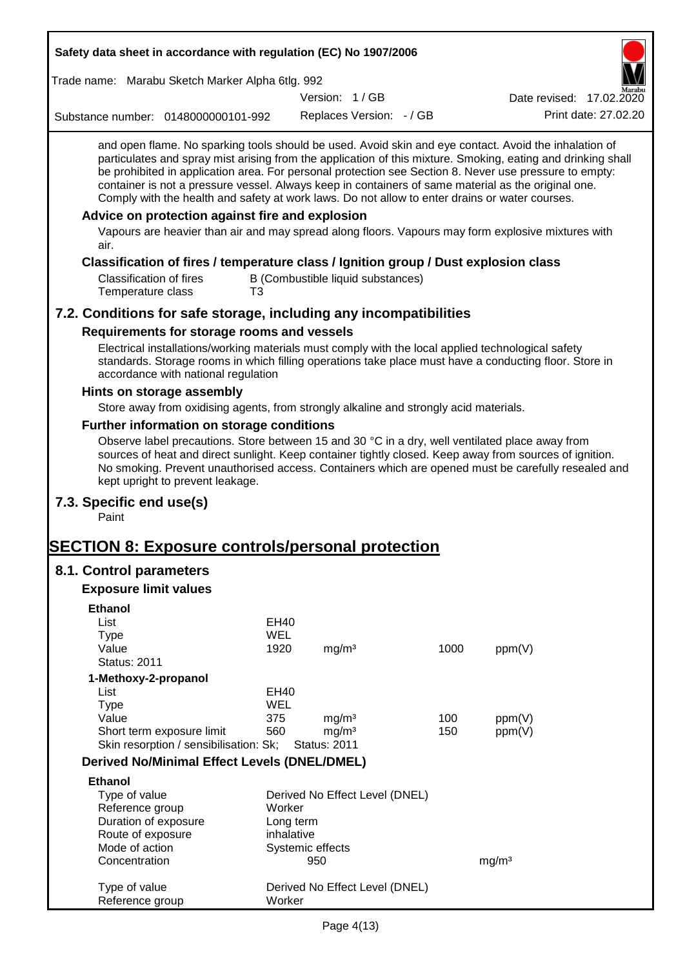| Safety data sheet in accordance with regulation (EC) No 1907/2006                                                                                                                                                                                                                                                                                                                                                                                                                                                                                                                           |            |                                   |      |                          |
|---------------------------------------------------------------------------------------------------------------------------------------------------------------------------------------------------------------------------------------------------------------------------------------------------------------------------------------------------------------------------------------------------------------------------------------------------------------------------------------------------------------------------------------------------------------------------------------------|------------|-----------------------------------|------|--------------------------|
| Trade name: Marabu Sketch Marker Alpha 6tlg. 992                                                                                                                                                                                                                                                                                                                                                                                                                                                                                                                                            |            |                                   |      |                          |
|                                                                                                                                                                                                                                                                                                                                                                                                                                                                                                                                                                                             |            | Version: 1/GB                     |      | Date revised: 17.02.2020 |
| Substance number: 0148000000101-992                                                                                                                                                                                                                                                                                                                                                                                                                                                                                                                                                         |            | Replaces Version: - / GB          |      | Print date: 27.02.20     |
| and open flame. No sparking tools should be used. Avoid skin and eye contact. Avoid the inhalation of<br>particulates and spray mist arising from the application of this mixture. Smoking, eating and drinking shall<br>be prohibited in application area. For personal protection see Section 8. Never use pressure to empty:<br>container is not a pressure vessel. Always keep in containers of same material as the original one.<br>Comply with the health and safety at work laws. Do not allow to enter drains or water courses.<br>Advice on protection against fire and explosion |            |                                   |      |                          |
| Vapours are heavier than air and may spread along floors. Vapours may form explosive mixtures with<br>air.                                                                                                                                                                                                                                                                                                                                                                                                                                                                                  |            |                                   |      |                          |
| Classification of fires / temperature class / Ignition group / Dust explosion class                                                                                                                                                                                                                                                                                                                                                                                                                                                                                                         |            |                                   |      |                          |
| <b>Classification of fires</b><br>Temperature class<br>T3                                                                                                                                                                                                                                                                                                                                                                                                                                                                                                                                   |            | B (Combustible liquid substances) |      |                          |
| 7.2. Conditions for safe storage, including any incompatibilities                                                                                                                                                                                                                                                                                                                                                                                                                                                                                                                           |            |                                   |      |                          |
| Requirements for storage rooms and vessels                                                                                                                                                                                                                                                                                                                                                                                                                                                                                                                                                  |            |                                   |      |                          |
| Electrical installations/working materials must comply with the local applied technological safety<br>standards. Storage rooms in which filling operations take place must have a conducting floor. Store in<br>accordance with national regulation                                                                                                                                                                                                                                                                                                                                         |            |                                   |      |                          |
| Hints on storage assembly                                                                                                                                                                                                                                                                                                                                                                                                                                                                                                                                                                   |            |                                   |      |                          |
| Store away from oxidising agents, from strongly alkaline and strongly acid materials.                                                                                                                                                                                                                                                                                                                                                                                                                                                                                                       |            |                                   |      |                          |
| Further information on storage conditions                                                                                                                                                                                                                                                                                                                                                                                                                                                                                                                                                   |            |                                   |      |                          |
| Observe label precautions. Store between 15 and 30 °C in a dry, well ventilated place away from<br>sources of heat and direct sunlight. Keep container tightly closed. Keep away from sources of ignition.<br>No smoking. Prevent unauthorised access. Containers which are opened must be carefully resealed and<br>kept upright to prevent leakage.                                                                                                                                                                                                                                       |            |                                   |      |                          |
| 7.3. Specific end use(s)<br>Paint                                                                                                                                                                                                                                                                                                                                                                                                                                                                                                                                                           |            |                                   |      |                          |
| <b>SECTION 8: Exposure controls/personal protection</b>                                                                                                                                                                                                                                                                                                                                                                                                                                                                                                                                     |            |                                   |      |                          |
| 8.1. Control parameters                                                                                                                                                                                                                                                                                                                                                                                                                                                                                                                                                                     |            |                                   |      |                          |
| <b>Exposure limit values</b>                                                                                                                                                                                                                                                                                                                                                                                                                                                                                                                                                                |            |                                   |      |                          |
| <b>Ethanol</b>                                                                                                                                                                                                                                                                                                                                                                                                                                                                                                                                                                              |            |                                   |      |                          |
| List                                                                                                                                                                                                                                                                                                                                                                                                                                                                                                                                                                                        | EH40       |                                   |      |                          |
| <b>Type</b>                                                                                                                                                                                                                                                                                                                                                                                                                                                                                                                                                                                 | <b>WEL</b> |                                   |      |                          |
| Value                                                                                                                                                                                                                                                                                                                                                                                                                                                                                                                                                                                       | 1920       | mg/m <sup>3</sup>                 | 1000 | ppm(V)                   |
| <b>Status: 2011</b>                                                                                                                                                                                                                                                                                                                                                                                                                                                                                                                                                                         |            |                                   |      |                          |
| 1-Methoxy-2-propanol<br>List                                                                                                                                                                                                                                                                                                                                                                                                                                                                                                                                                                | EH40       |                                   |      |                          |
| <b>Type</b>                                                                                                                                                                                                                                                                                                                                                                                                                                                                                                                                                                                 | <b>WEL</b> |                                   |      |                          |
| Value                                                                                                                                                                                                                                                                                                                                                                                                                                                                                                                                                                                       | 375        | mg/m <sup>3</sup>                 | 100  | ppm(V)                   |
| Short term exposure limit                                                                                                                                                                                                                                                                                                                                                                                                                                                                                                                                                                   | 560        | mg/m <sup>3</sup>                 | 150  | ppm(V)                   |
| Skin resorption / sensibilisation: Sk;                                                                                                                                                                                                                                                                                                                                                                                                                                                                                                                                                      |            | <b>Status: 2011</b>               |      |                          |
| <b>Derived No/Minimal Effect Levels (DNEL/DMEL)</b>                                                                                                                                                                                                                                                                                                                                                                                                                                                                                                                                         |            |                                   |      |                          |
| <b>Ethanol</b>                                                                                                                                                                                                                                                                                                                                                                                                                                                                                                                                                                              |            |                                   |      |                          |
| Type of value                                                                                                                                                                                                                                                                                                                                                                                                                                                                                                                                                                               |            | Derived No Effect Level (DNEL)    |      |                          |
| Reference group                                                                                                                                                                                                                                                                                                                                                                                                                                                                                                                                                                             | Worker     |                                   |      |                          |
| Duration of exposure                                                                                                                                                                                                                                                                                                                                                                                                                                                                                                                                                                        | Long term  |                                   |      |                          |
| Route of exposure                                                                                                                                                                                                                                                                                                                                                                                                                                                                                                                                                                           | inhalative |                                   |      |                          |
| Mode of action                                                                                                                                                                                                                                                                                                                                                                                                                                                                                                                                                                              |            | Systemic effects                  |      |                          |
| Concentration                                                                                                                                                                                                                                                                                                                                                                                                                                                                                                                                                                               |            | 950                               |      | mg/m <sup>3</sup>        |
| Type of value                                                                                                                                                                                                                                                                                                                                                                                                                                                                                                                                                                               |            | Derived No Effect Level (DNEL)    |      |                          |
| Reference group                                                                                                                                                                                                                                                                                                                                                                                                                                                                                                                                                                             | Worker     |                                   |      |                          |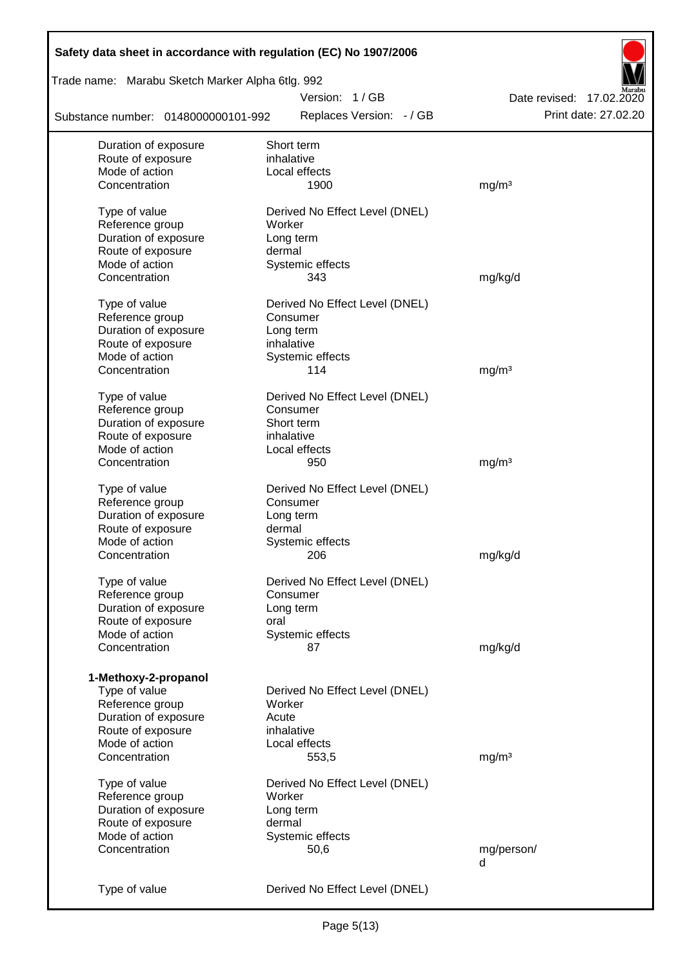| Safety data sheet in accordance with regulation (EC) No 1907/2006 |                                |                          |
|-------------------------------------------------------------------|--------------------------------|--------------------------|
| Trade name: Marabu Sketch Marker Alpha 6tlg. 992                  |                                |                          |
|                                                                   | Version: 1/GB                  | Date revised: 17.02.2020 |
| Substance number: 0148000000101-992                               | Replaces Version: - / GB       | Print date: 27.02.20     |
| Duration of exposure                                              | Short term                     |                          |
| Route of exposure                                                 | inhalative                     |                          |
| Mode of action                                                    | Local effects                  |                          |
| Concentration                                                     | 1900                           | mg/m <sup>3</sup>        |
| Type of value                                                     | Derived No Effect Level (DNEL) |                          |
| Reference group                                                   | Worker                         |                          |
| Duration of exposure                                              | Long term                      |                          |
| Route of exposure                                                 | dermal                         |                          |
| Mode of action                                                    | Systemic effects               |                          |
| Concentration                                                     | 343                            | mg/kg/d                  |
| Type of value                                                     | Derived No Effect Level (DNEL) |                          |
| Reference group                                                   | Consumer                       |                          |
| Duration of exposure                                              | Long term                      |                          |
| Route of exposure                                                 | inhalative                     |                          |
| Mode of action                                                    | Systemic effects               |                          |
| Concentration                                                     | 114                            | mg/m <sup>3</sup>        |
| Type of value                                                     | Derived No Effect Level (DNEL) |                          |
| Reference group                                                   | Consumer                       |                          |
| Duration of exposure                                              | Short term                     |                          |
| Route of exposure                                                 | inhalative                     |                          |
| Mode of action                                                    | Local effects                  |                          |
| Concentration                                                     | 950                            | mg/m <sup>3</sup>        |
| Type of value                                                     | Derived No Effect Level (DNEL) |                          |
| Reference group                                                   | Consumer                       |                          |
| Duration of exposure                                              | Long term                      |                          |
| Route of exposure                                                 | dermal                         |                          |
| Mode of action                                                    | Systemic effects               |                          |
| Concentration                                                     | 206                            | mg/kg/d                  |
| Type of value                                                     | Derived No Effect Level (DNEL) |                          |
| Reference group                                                   | Consumer                       |                          |
| Duration of exposure                                              | Long term                      |                          |
| Route of exposure                                                 | oral                           |                          |
| Mode of action                                                    | Systemic effects               |                          |
| Concentration                                                     | 87                             | mg/kg/d                  |
|                                                                   |                                |                          |
| 1-Methoxy-2-propanol                                              |                                |                          |
| Type of value                                                     | Derived No Effect Level (DNEL) |                          |
| Reference group                                                   | Worker                         |                          |
| Duration of exposure                                              | Acute                          |                          |
| Route of exposure                                                 | inhalative                     |                          |
| Mode of action                                                    | Local effects                  |                          |
| Concentration                                                     | 553,5                          | mg/m <sup>3</sup>        |
| Type of value                                                     | Derived No Effect Level (DNEL) |                          |
| Reference group                                                   | Worker                         |                          |
| Duration of exposure                                              | Long term                      |                          |
| Route of exposure                                                 | dermal                         |                          |
| Mode of action                                                    | Systemic effects               |                          |
| Concentration                                                     | 50,6                           | mg/person/<br>d          |
|                                                                   |                                |                          |
| Type of value                                                     | Derived No Effect Level (DNEL) |                          |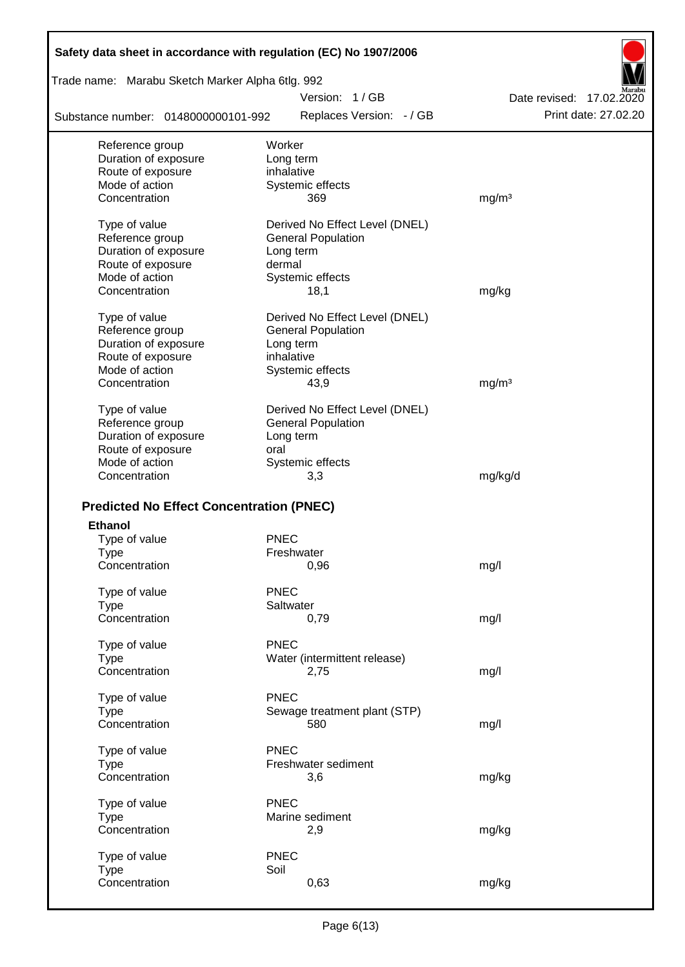| Safety data sheet in accordance with regulation (EC) No 1907/2006 |                                |                          |
|-------------------------------------------------------------------|--------------------------------|--------------------------|
| Trade name: Marabu Sketch Marker Alpha 6tlg. 992                  |                                |                          |
|                                                                   | Version: 1/GB                  | Date revised: 17,02,2020 |
| Substance number: 0148000000101-992                               | Replaces Version: - / GB       | Print date: 27.02.20     |
| Reference group                                                   | Worker                         |                          |
| Duration of exposure                                              | Long term                      |                          |
| Route of exposure                                                 | inhalative                     |                          |
| Mode of action                                                    | Systemic effects               |                          |
| Concentration                                                     | 369                            | mg/m <sup>3</sup>        |
| Type of value                                                     | Derived No Effect Level (DNEL) |                          |
| Reference group                                                   | <b>General Population</b>      |                          |
| Duration of exposure                                              | Long term                      |                          |
| Route of exposure                                                 | dermal                         |                          |
| Mode of action                                                    | Systemic effects               |                          |
| Concentration                                                     | 18,1                           | mg/kg                    |
| Type of value                                                     | Derived No Effect Level (DNEL) |                          |
| Reference group                                                   | <b>General Population</b>      |                          |
| Duration of exposure                                              | Long term                      |                          |
| Route of exposure                                                 | inhalative                     |                          |
| Mode of action                                                    | Systemic effects               |                          |
| Concentration                                                     | 43,9                           | mg/m <sup>3</sup>        |
| Type of value                                                     | Derived No Effect Level (DNEL) |                          |
| Reference group                                                   | <b>General Population</b>      |                          |
| Duration of exposure                                              | Long term                      |                          |
| Route of exposure                                                 | oral                           |                          |
| Mode of action                                                    | Systemic effects               |                          |
| Concentration                                                     | 3,3                            | mg/kg/d                  |
|                                                                   |                                |                          |
| <b>Predicted No Effect Concentration (PNEC)</b>                   |                                |                          |
| <b>Ethanol</b>                                                    | <b>PNEC</b>                    |                          |
| Type of value<br>Type                                             | Freshwater                     |                          |
| Concentration                                                     | 0,96                           | mg/l                     |
|                                                                   |                                |                          |
| Type of value                                                     | <b>PNEC</b>                    |                          |
| <b>Type</b>                                                       | Saltwater                      |                          |
| Concentration                                                     | 0,79                           | mg/l                     |
| Type of value                                                     | <b>PNEC</b>                    |                          |
| <b>Type</b>                                                       | Water (intermittent release)   |                          |
| Concentration                                                     | 2,75                           | mg/l                     |
| Type of value                                                     | <b>PNEC</b>                    |                          |
| <b>Type</b>                                                       | Sewage treatment plant (STP)   |                          |
| Concentration                                                     | 580                            | mg/l                     |
| Type of value                                                     | <b>PNEC</b>                    |                          |
| <b>Type</b>                                                       | Freshwater sediment            |                          |
| Concentration                                                     | 3,6                            | mg/kg                    |
|                                                                   | <b>PNEC</b>                    |                          |
| Type of value                                                     | Marine sediment                |                          |
| <b>Type</b><br>Concentration                                      | 2,9                            |                          |
|                                                                   |                                | mg/kg                    |
| Type of value                                                     | <b>PNEC</b>                    |                          |
| <b>Type</b>                                                       | Soil                           |                          |
| Concentration                                                     | 0,63                           | mg/kg                    |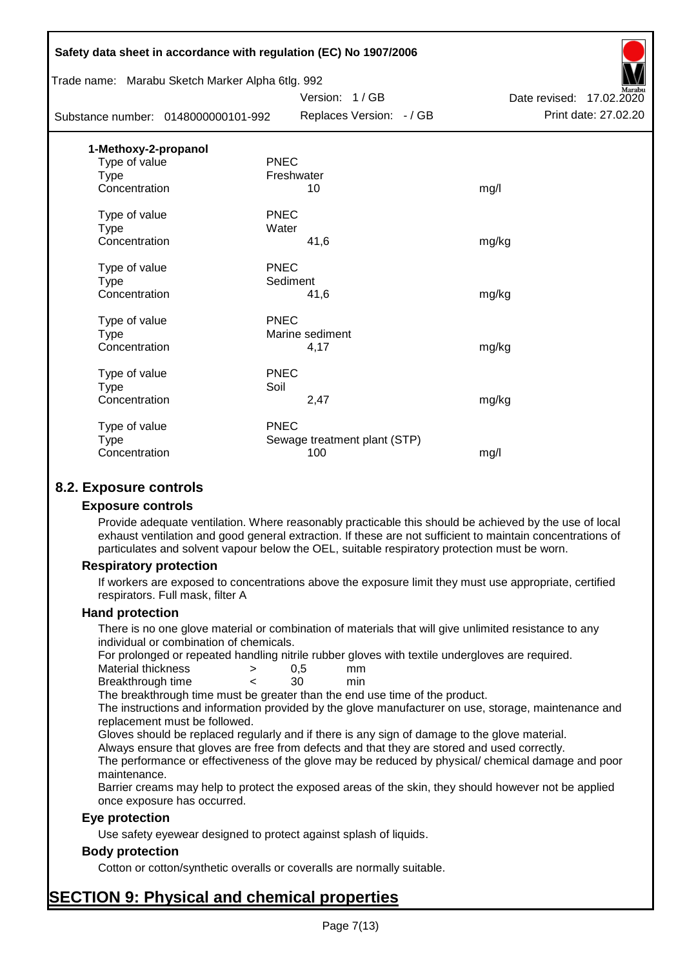|                      | Safety data sheet in accordance with regulation (EC) No 1907/2006 |                              |                          |
|----------------------|-------------------------------------------------------------------|------------------------------|--------------------------|
|                      | Trade name: Marabu Sketch Marker Alpha 6tlg. 992                  |                              |                          |
|                      |                                                                   | Version: 1/GB                | Date revised: 17.02.2020 |
|                      | Substance number: 0148000000101-992                               | Replaces Version: - / GB     | Print date: 27.02.20     |
| 1-Methoxy-2-propanol |                                                                   |                              |                          |
| Type of value        | <b>PNEC</b>                                                       |                              |                          |
| Type                 | Freshwater                                                        |                              |                          |
| Concentration        |                                                                   | 10                           | mg/l                     |
| Type of value        | <b>PNEC</b>                                                       |                              |                          |
| Type                 | Water                                                             |                              |                          |
| Concentration        |                                                                   | 41,6                         | mg/kg                    |
| Type of value        | <b>PNEC</b>                                                       |                              |                          |
| Type                 | Sediment                                                          |                              |                          |
| Concentration        |                                                                   | 41,6                         | mg/kg                    |
| Type of value        | <b>PNEC</b>                                                       |                              |                          |
| <b>Type</b>          |                                                                   | Marine sediment              |                          |
| Concentration        |                                                                   | 4,17                         | mg/kg                    |
| Type of value        | <b>PNEC</b>                                                       |                              |                          |
| <b>Type</b>          | Soil                                                              |                              |                          |
| Concentration        |                                                                   | 2,47                         | mg/kg                    |
| Type of value        | <b>PNEC</b>                                                       |                              |                          |
| <b>Type</b>          |                                                                   | Sewage treatment plant (STP) |                          |
| Concentration        |                                                                   | 100                          | mg/l                     |
|                      |                                                                   |                              |                          |

## **8.2. Exposure controls**

#### **Exposure controls**

Provide adequate ventilation. Where reasonably practicable this should be achieved by the use of local exhaust ventilation and good general extraction. If these are not sufficient to maintain concentrations of particulates and solvent vapour below the OEL, suitable respiratory protection must be worn.

#### **Respiratory protection**

If workers are exposed to concentrations above the exposure limit they must use appropriate, certified respirators. Full mask, filter A

#### **Hand protection**

There is no one glove material or combination of materials that will give unlimited resistance to any individual or combination of chemicals.

For prolonged or repeated handling nitrile rubber gloves with textile undergloves are required.

| Material thickness | 0.5 | mm  |
|--------------------|-----|-----|
| Breakthrough time  | 30  | min |

The breakthrough time must be greater than the end use time of the product.

The instructions and information provided by the glove manufacturer on use, storage, maintenance and replacement must be followed.

Gloves should be replaced regularly and if there is any sign of damage to the glove material.

Always ensure that gloves are free from defects and that they are stored and used correctly.

The performance or effectiveness of the glove may be reduced by physical/ chemical damage and poor maintenance.

Barrier creams may help to protect the exposed areas of the skin, they should however not be applied once exposure has occurred.

## **Eye protection**

Use safety eyewear designed to protect against splash of liquids.

## **Body protection**

Cotton or cotton/synthetic overalls or coveralls are normally suitable.

# **SECTION 9: Physical and chemical properties**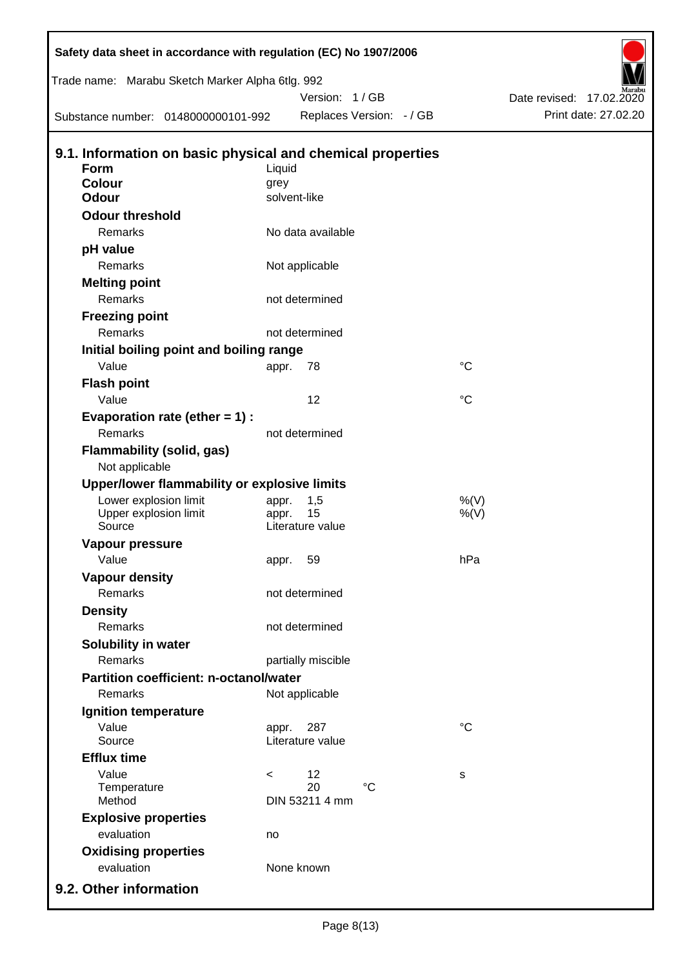| Safety data sheet in accordance with regulation (EC) No 1907/2006         |         |                                     |                 |                          |
|---------------------------------------------------------------------------|---------|-------------------------------------|-----------------|--------------------------|
| Trade name: Marabu Sketch Marker Alpha 6tlg. 992                          |         |                                     |                 |                          |
|                                                                           |         | Version: 1/GB                       |                 | Date revised: 17.02.2020 |
| Substance number: 0148000000101-992                                       |         | Replaces Version: - / GB            |                 | Print date: 27.02.20     |
|                                                                           |         |                                     |                 |                          |
| 9.1. Information on basic physical and chemical properties<br><b>Form</b> | Liquid  |                                     |                 |                          |
| <b>Colour</b>                                                             | grey    |                                     |                 |                          |
| <b>Odour</b>                                                              |         | solvent-like                        |                 |                          |
| <b>Odour threshold</b>                                                    |         |                                     |                 |                          |
| Remarks                                                                   |         | No data available                   |                 |                          |
| pH value                                                                  |         |                                     |                 |                          |
| Remarks                                                                   |         | Not applicable                      |                 |                          |
| <b>Melting point</b>                                                      |         |                                     |                 |                          |
| Remarks                                                                   |         | not determined                      |                 |                          |
| <b>Freezing point</b>                                                     |         |                                     |                 |                          |
| Remarks                                                                   |         | not determined                      |                 |                          |
| Initial boiling point and boiling range                                   |         |                                     |                 |                          |
| Value                                                                     | appr.   | 78                                  | $^{\circ}C$     |                          |
| <b>Flash point</b>                                                        |         |                                     |                 |                          |
| Value                                                                     |         | 12                                  | $\rm ^{\circ}C$ |                          |
| Evaporation rate (ether $= 1$ ) :                                         |         |                                     |                 |                          |
| Remarks                                                                   |         | not determined                      |                 |                          |
| Flammability (solid, gas)                                                 |         |                                     |                 |                          |
| Not applicable                                                            |         |                                     |                 |                          |
| Upper/lower flammability or explosive limits                              |         |                                     |                 |                          |
| Lower explosion limit                                                     | appr.   | 1,5                                 | %(V)            |                          |
| Upper explosion limit                                                     | appr.   | 15                                  | $%$ (V)         |                          |
| Source                                                                    |         | Literature value                    |                 |                          |
| Vapour pressure                                                           |         |                                     |                 |                          |
| Value                                                                     |         | appr. 59                            | hPa             |                          |
| <b>Vapour density</b>                                                     |         |                                     |                 |                          |
| <b>Remarks</b>                                                            |         | not determined                      |                 |                          |
| <b>Density</b>                                                            |         |                                     |                 |                          |
| Remarks                                                                   |         | not determined                      |                 |                          |
| Solubility in water                                                       |         |                                     |                 |                          |
| Remarks                                                                   |         | partially miscible                  |                 |                          |
| Partition coefficient: n-octanol/water                                    |         |                                     |                 |                          |
| Remarks                                                                   |         | Not applicable                      |                 |                          |
| Ignition temperature                                                      |         |                                     |                 |                          |
| Value                                                                     | appr.   | 287                                 | $^{\circ}C$     |                          |
| Source                                                                    |         | Literature value                    |                 |                          |
| <b>Efflux time</b>                                                        |         |                                     |                 |                          |
| Value                                                                     | $\,<\,$ | 12                                  | s               |                          |
| Temperature<br>Method                                                     |         | 20<br>$^{\circ}C$<br>DIN 53211 4 mm |                 |                          |
|                                                                           |         |                                     |                 |                          |
| <b>Explosive properties</b>                                               |         |                                     |                 |                          |
| evaluation                                                                | no      |                                     |                 |                          |
| <b>Oxidising properties</b>                                               |         |                                     |                 |                          |
| evaluation                                                                |         | None known                          |                 |                          |
| 9.2. Other information                                                    |         |                                     |                 |                          |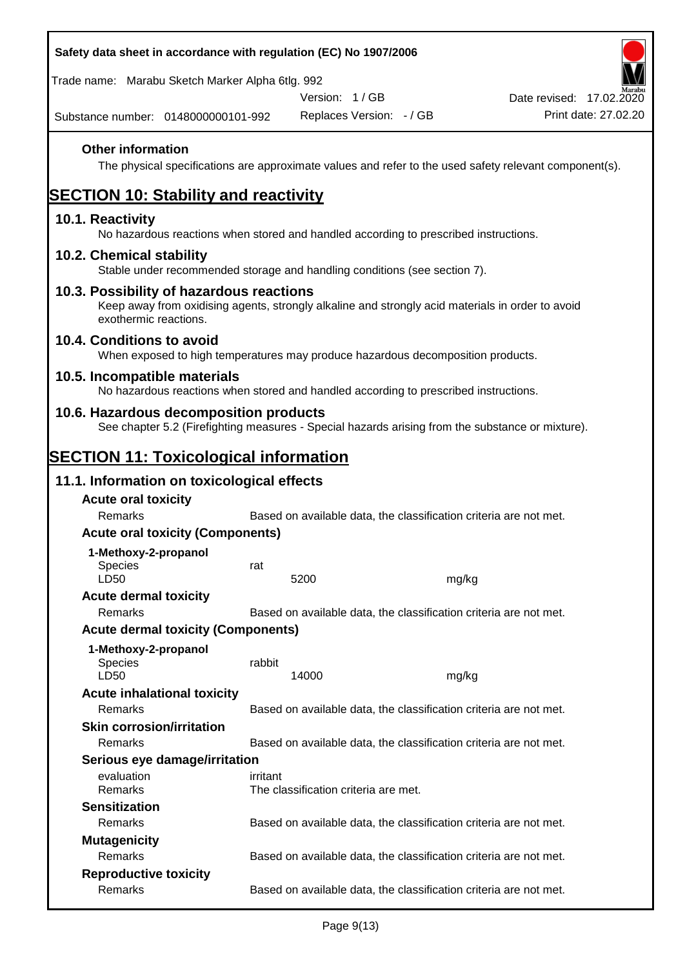| Safety data sheet in accordance with regulation (EC) No 1907/2006                                                                                                     |          |                                      |                                                                   |                                                                                                        |
|-----------------------------------------------------------------------------------------------------------------------------------------------------------------------|----------|--------------------------------------|-------------------------------------------------------------------|--------------------------------------------------------------------------------------------------------|
| Trade name: Marabu Sketch Marker Alpha 6tlg. 992                                                                                                                      |          |                                      |                                                                   |                                                                                                        |
|                                                                                                                                                                       |          | Version: 1/GB                        |                                                                   | Date revised: 17.02.2020                                                                               |
| Substance number: 0148000000101-992                                                                                                                                   |          | Replaces Version: - / GB             |                                                                   | Print date: 27.02.20                                                                                   |
| <b>Other information</b>                                                                                                                                              |          |                                      |                                                                   | The physical specifications are approximate values and refer to the used safety relevant component(s). |
| <b>SECTION 10: Stability and reactivity</b>                                                                                                                           |          |                                      |                                                                   |                                                                                                        |
| 10.1. Reactivity<br>No hazardous reactions when stored and handled according to prescribed instructions.                                                              |          |                                      |                                                                   |                                                                                                        |
| 10.2. Chemical stability<br>Stable under recommended storage and handling conditions (see section 7).                                                                 |          |                                      |                                                                   |                                                                                                        |
| 10.3. Possibility of hazardous reactions<br>Keep away from oxidising agents, strongly alkaline and strongly acid materials in order to avoid<br>exothermic reactions. |          |                                      |                                                                   |                                                                                                        |
| 10.4. Conditions to avoid<br>When exposed to high temperatures may produce hazardous decomposition products.                                                          |          |                                      |                                                                   |                                                                                                        |
| 10.5. Incompatible materials<br>No hazardous reactions when stored and handled according to prescribed instructions.                                                  |          |                                      |                                                                   |                                                                                                        |
| 10.6. Hazardous decomposition products<br>See chapter 5.2 (Firefighting measures - Special hazards arising from the substance or mixture).                            |          |                                      |                                                                   |                                                                                                        |
| <b>SECTION 11: Toxicological information</b>                                                                                                                          |          |                                      |                                                                   |                                                                                                        |
| 11.1. Information on toxicological effects                                                                                                                            |          |                                      |                                                                   |                                                                                                        |
| <b>Acute oral toxicity</b>                                                                                                                                            |          |                                      |                                                                   |                                                                                                        |
| Remarks                                                                                                                                                               |          |                                      | Based on available data, the classification criteria are not met. |                                                                                                        |
| <b>Acute oral toxicity (Components)</b>                                                                                                                               |          |                                      |                                                                   |                                                                                                        |
| 1-Methoxy-2-propanol                                                                                                                                                  |          |                                      |                                                                   |                                                                                                        |
| <b>Species</b><br>LD50                                                                                                                                                | rat      | 5200                                 | mg/kg                                                             |                                                                                                        |
| <b>Acute dermal toxicity</b>                                                                                                                                          |          |                                      |                                                                   |                                                                                                        |
| Remarks                                                                                                                                                               |          |                                      | Based on available data, the classification criteria are not met. |                                                                                                        |
| <b>Acute dermal toxicity (Components)</b>                                                                                                                             |          |                                      |                                                                   |                                                                                                        |
| 1-Methoxy-2-propanol<br>Species<br>LD50                                                                                                                               | rabbit   | 14000                                | mg/kg                                                             |                                                                                                        |
| <b>Acute inhalational toxicity</b>                                                                                                                                    |          |                                      |                                                                   |                                                                                                        |
| Remarks                                                                                                                                                               |          |                                      | Based on available data, the classification criteria are not met. |                                                                                                        |
| <b>Skin corrosion/irritation</b>                                                                                                                                      |          |                                      |                                                                   |                                                                                                        |
| Remarks                                                                                                                                                               |          |                                      | Based on available data, the classification criteria are not met. |                                                                                                        |
| Serious eye damage/irritation                                                                                                                                         |          |                                      |                                                                   |                                                                                                        |
| evaluation<br>Remarks                                                                                                                                                 | irritant | The classification criteria are met. |                                                                   |                                                                                                        |
| <b>Sensitization</b>                                                                                                                                                  |          |                                      |                                                                   |                                                                                                        |
| Remarks                                                                                                                                                               |          |                                      | Based on available data, the classification criteria are not met. |                                                                                                        |
| <b>Mutagenicity</b>                                                                                                                                                   |          |                                      |                                                                   |                                                                                                        |
| Remarks                                                                                                                                                               |          |                                      | Based on available data, the classification criteria are not met. |                                                                                                        |
| <b>Reproductive toxicity</b><br>Remarks                                                                                                                               |          |                                      | Based on available data, the classification criteria are not met. |                                                                                                        |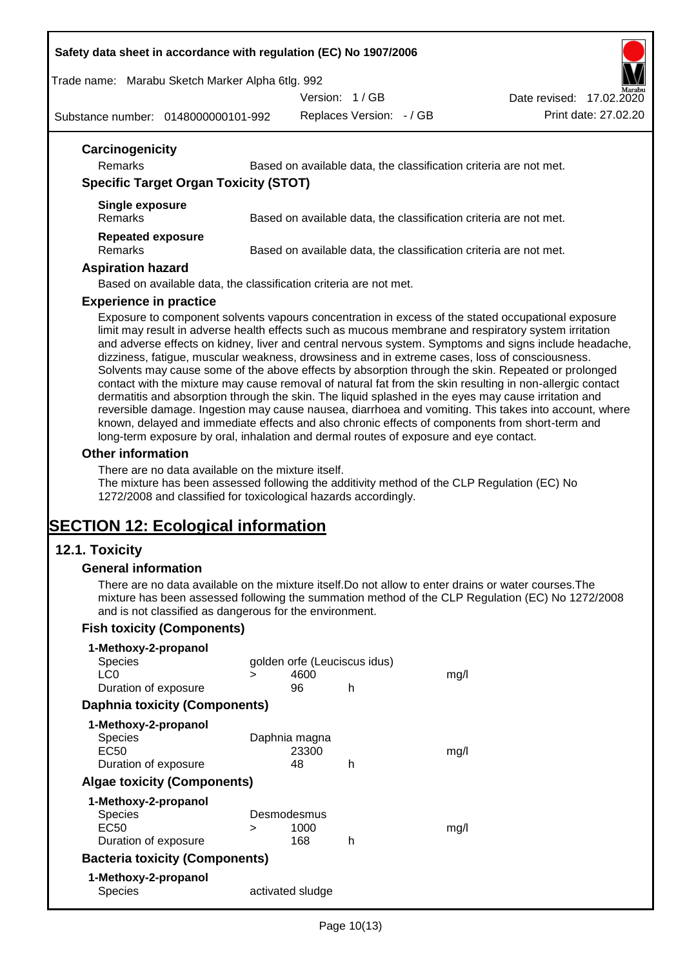#### **Safety data sheet in accordance with regulation (EC) No 1907/2006**

Trade name: Marabu Sketch Marker Alpha 6tlg. 992

Version: 1 / GB



Substance number: 0148000000101-992

Replaces Version: - / GB Print date: 27.02.20

| Remarks                                      | Based on available data, the classification criteria are not met. |
|----------------------------------------------|-------------------------------------------------------------------|
| <b>Specific Target Organ Toxicity (STOT)</b> |                                                                   |
| Single exposure<br>Remarks                   | Based on available data, the classification criteria are not met. |
| <b>Repeated exposure</b><br>Remarks          | Based on available data, the classification criteria are not met. |
| <b>Aspiration hazard</b>                     |                                                                   |
|                                              | Based on available data, the classification criteria are not met. |

Exposure to component solvents vapours concentration in excess of the stated occupational exposure limit may result in adverse health effects such as mucous membrane and respiratory system irritation and adverse effects on kidney, liver and central nervous system. Symptoms and signs include headache, dizziness, fatigue, muscular weakness, drowsiness and in extreme cases, loss of consciousness. Solvents may cause some of the above effects by absorption through the skin. Repeated or prolonged contact with the mixture may cause removal of natural fat from the skin resulting in non-allergic contact dermatitis and absorption through the skin. The liquid splashed in the eyes may cause irritation and reversible damage. Ingestion may cause nausea, diarrhoea and vomiting. This takes into account, where known, delayed and immediate effects and also chronic effects of components from short-term and long-term exposure by oral, inhalation and dermal routes of exposure and eye contact.

#### **Other information**

There are no data available on the mixture itself.

The mixture has been assessed following the additivity method of the CLP Regulation (EC) No 1272/2008 and classified for toxicological hazards accordingly.

# **SECTION 12: Ecological information**

## **12.1. Toxicity**

#### **General information**

There are no data available on the mixture itself.Do not allow to enter drains or water courses.The mixture has been assessed following the summation method of the CLP Regulation (EC) No 1272/2008 and is not classified as dangerous for the environment.

## **Fish toxicity (Components)**

| 1-Methoxy-2-propanol                  |   |                              |   |      |
|---------------------------------------|---|------------------------------|---|------|
| <b>Species</b>                        |   | golden orfe (Leuciscus idus) |   |      |
| LC <sub>0</sub>                       | ⋗ | 4600                         |   | mq/l |
| Duration of exposure                  |   | 96                           | h |      |
| <b>Daphnia toxicity (Components)</b>  |   |                              |   |      |
| 1-Methoxy-2-propanol                  |   |                              |   |      |
| <b>Species</b>                        |   | Daphnia magna                |   |      |
| EC50                                  |   | 23300                        |   | mq/1 |
| Duration of exposure                  |   | 48                           | h |      |
| <b>Algae toxicity (Components)</b>    |   |                              |   |      |
| 1-Methoxy-2-propanol                  |   |                              |   |      |
| <b>Species</b>                        |   | Desmodesmus                  |   |      |
| EC50                                  | ⋗ | 1000                         |   | mq/1 |
| Duration of exposure                  |   | 168                          | h |      |
| <b>Bacteria toxicity (Components)</b> |   |                              |   |      |
| 1-Methoxy-2-propanol                  |   |                              |   |      |
| Species                               |   | activated sludge             |   |      |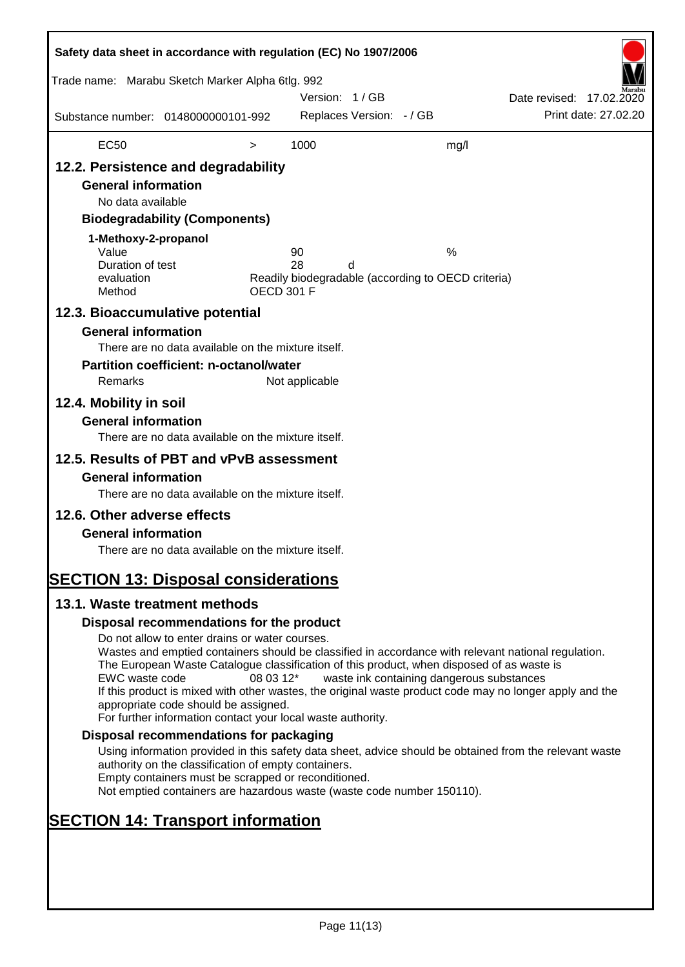| Safety data sheet in accordance with regulation (EC) No 1907/2006<br>Trade name: Marabu Sketch Marker Alpha 6tlg. 992                                                                                                                                                   |                                                                                                                                                                                                                                                                                                                                                                                                                                                                      |                   | Version: 1/GB  |                          |                                                         | Date revised: 17.02.2020 |                      |
|-------------------------------------------------------------------------------------------------------------------------------------------------------------------------------------------------------------------------------------------------------------------------|----------------------------------------------------------------------------------------------------------------------------------------------------------------------------------------------------------------------------------------------------------------------------------------------------------------------------------------------------------------------------------------------------------------------------------------------------------------------|-------------------|----------------|--------------------------|---------------------------------------------------------|--------------------------|----------------------|
| Substance number: 0148000000101-992                                                                                                                                                                                                                                     |                                                                                                                                                                                                                                                                                                                                                                                                                                                                      |                   |                | Replaces Version: - / GB |                                                         |                          | Print date: 27.02.20 |
| <b>EC50</b>                                                                                                                                                                                                                                                             |                                                                                                                                                                                                                                                                                                                                                                                                                                                                      | $\, > \,$         | 1000           |                          | mg/l                                                    |                          |                      |
| 12.2. Persistence and degradability<br><b>General information</b><br>No data available<br>1-Methoxy-2-propanol<br>Value<br>Duration of test<br>evaluation                                                                                                               | <b>Biodegradability (Components)</b>                                                                                                                                                                                                                                                                                                                                                                                                                                 |                   | 90<br>28       | d                        | %<br>Readily biodegradable (according to OECD criteria) |                          |                      |
| Method                                                                                                                                                                                                                                                                  |                                                                                                                                                                                                                                                                                                                                                                                                                                                                      | <b>OECD 301 F</b> |                |                          |                                                         |                          |                      |
| 12.3. Bioaccumulative potential<br><b>General information</b><br>Remarks<br>12.4. Mobility in soil<br><b>General information</b><br>12.5. Results of PBT and vPvB assessment<br><b>General information</b><br>12.6. Other adverse effects<br><b>General information</b> | There are no data available on the mixture itself.<br><b>Partition coefficient: n-octanol/water</b><br>There are no data available on the mixture itself.<br>There are no data available on the mixture itself.<br>There are no data available on the mixture itself.                                                                                                                                                                                                |                   | Not applicable |                          |                                                         |                          |                      |
| <b>SECTION 13: Disposal considerations</b><br>13.1. Waste treatment methods                                                                                                                                                                                             |                                                                                                                                                                                                                                                                                                                                                                                                                                                                      |                   |                |                          |                                                         |                          |                      |
|                                                                                                                                                                                                                                                                         | Disposal recommendations for the product                                                                                                                                                                                                                                                                                                                                                                                                                             |                   |                |                          |                                                         |                          |                      |
| EWC waste code                                                                                                                                                                                                                                                          | Do not allow to enter drains or water courses.<br>Wastes and emptied containers should be classified in accordance with relevant national regulation.<br>The European Waste Catalogue classification of this product, when disposed of as waste is<br>If this product is mixed with other wastes, the original waste product code may no longer apply and the<br>appropriate code should be assigned.<br>For further information contact your local waste authority. | 08 03 12*         |                |                          | waste ink containing dangerous substances               |                          |                      |
|                                                                                                                                                                                                                                                                         | Disposal recommendations for packaging                                                                                                                                                                                                                                                                                                                                                                                                                               |                   |                |                          |                                                         |                          |                      |
|                                                                                                                                                                                                                                                                         | Using information provided in this safety data sheet, advice should be obtained from the relevant waste<br>authority on the classification of empty containers.<br>Empty containers must be scrapped or reconditioned.<br>Not emptied containers are hazardous waste (waste code number 150110).                                                                                                                                                                     |                   |                |                          |                                                         |                          |                      |
| <b>SECTION 14: Transport information</b>                                                                                                                                                                                                                                |                                                                                                                                                                                                                                                                                                                                                                                                                                                                      |                   |                |                          |                                                         |                          |                      |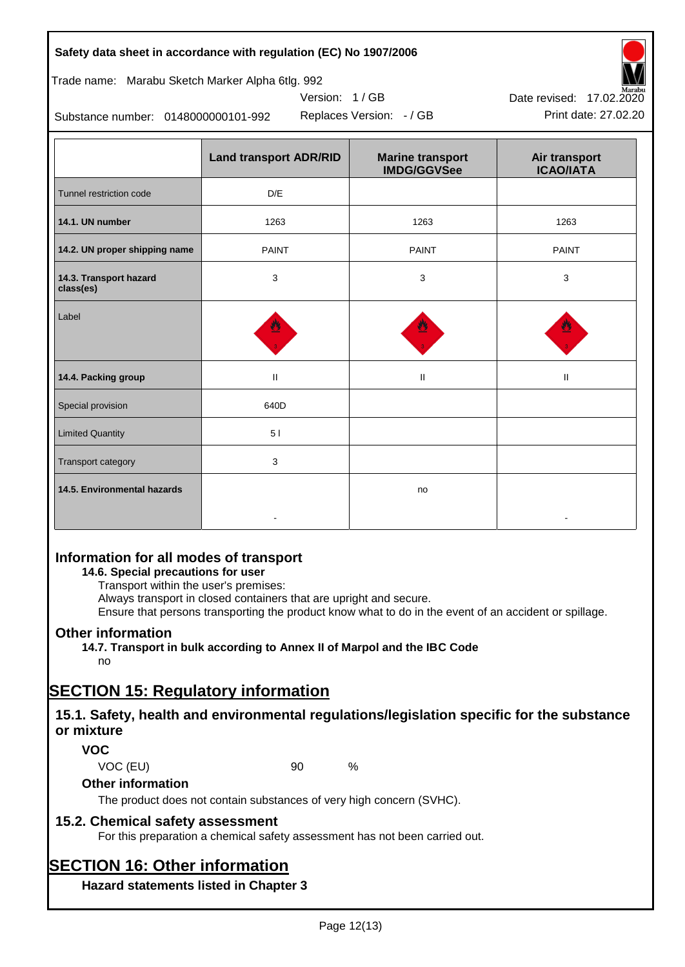| <b>Land transport ADR/RID</b> | <b>Marine transport</b><br><b>IMDG/GGVSee</b> | Air transport<br><b>ICAO/IATA</b> |
|-------------------------------|-----------------------------------------------|-----------------------------------|
| D/E                           |                                               |                                   |
| 1263                          | 1263                                          | 1263                              |
| <b>PAINT</b>                  | <b>PAINT</b>                                  | <b>PAINT</b>                      |
| 3                             | 3                                             | 3                                 |
| 豐                             | 豐                                             | 發                                 |
|                               |                                               |                                   |

**14.4. Packing group and a set of the set of the set of the set of the set of the set of the set of the set of t** 

**Safety data sheet in accordance with regulation (EC) No 1907/2006**

Substance number: 0148000000101-992

Trade name: Marabu Sketch Marker Alpha 6tlg. 992

| Information for all modes of transport |  |  |
|----------------------------------------|--|--|
|                                        |  |  |

## **14.6. Special precautions for user**

Special provision 640D

Limited Quantity **1999 1999 1999 1999 1999 1999 1999 1999 1999 1999 1999 1999 1999 1999 1999 1999 1999 1999 1999 1999 1999 1999 1999 1999 1999 1999 1999 1999 1999 1** 

Transport category **3** and 3

Transport within the user's premises:

Always transport in closed containers that are upright and secure.

-

Ensure that persons transporting the product know what to do in the event of an accident or spillage.

no

## **Other information**

**14.5. Environmental hazards**

**14.7. Transport in bulk according to Annex II of Marpol and the IBC Code**

# no

# **SECTION 15: Regulatory information**

## **15.1. Safety, health and environmental regulations/legislation specific for the substance or mixture**

## **VOC**

VOC (EU) 90 %

## **Other information**

The product does not contain substances of very high concern (SVHC).

## **15.2. Chemical safety assessment**

For this preparation a chemical safety assessment has not been carried out.

# **SECTION 16: Other information**

**Hazard statements listed in Chapter 3**



-

Version: 1 / GB

Replaces Version: - / GB Print date: 27.02.20